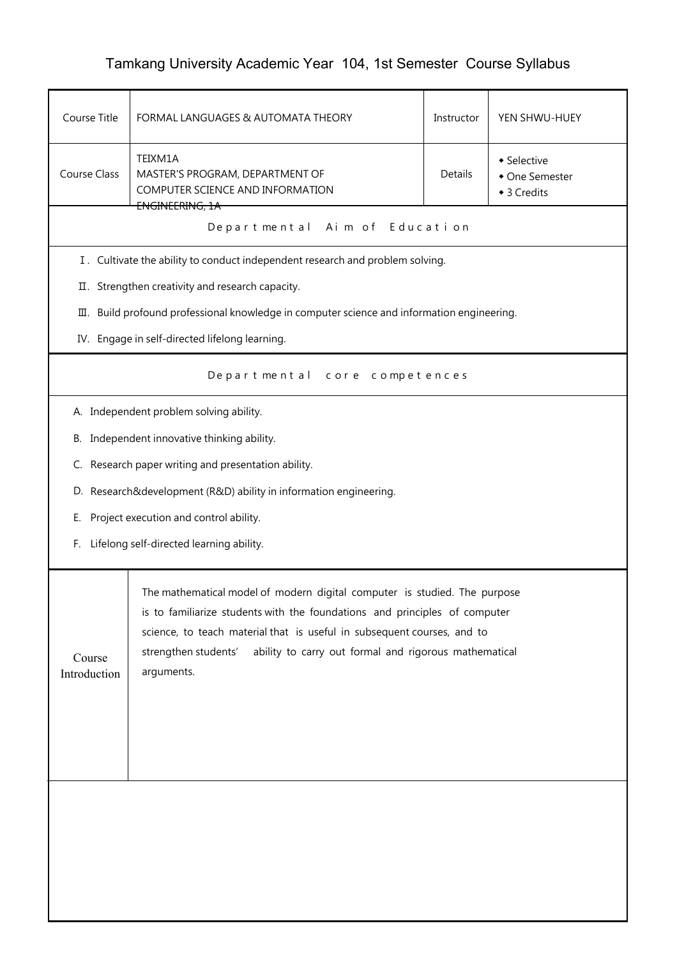## Tamkang University Academic Year 104, 1st Semester Course Syllabus

| Course Title                                                                                                                                                                                                                                                                                                                                                | FORMAL LANGUAGES & AUTOMATA THEORY                                                                           | Instructor | YEN SHWU-HUEY                                |  |
|-------------------------------------------------------------------------------------------------------------------------------------------------------------------------------------------------------------------------------------------------------------------------------------------------------------------------------------------------------------|--------------------------------------------------------------------------------------------------------------|------------|----------------------------------------------|--|
| <b>Course Class</b>                                                                                                                                                                                                                                                                                                                                         | TEIXM1A<br>MASTER'S PROGRAM, DEPARTMENT OF<br>COMPUTER SCIENCE AND INFORMATION<br><del>ENGINEERING, 1A</del> | Details    | • Selective<br>• One Semester<br>◆ 3 Credits |  |
|                                                                                                                                                                                                                                                                                                                                                             | Departmental Aim of Education                                                                                |            |                                              |  |
|                                                                                                                                                                                                                                                                                                                                                             | I. Cultivate the ability to conduct independent research and problem solving.                                |            |                                              |  |
|                                                                                                                                                                                                                                                                                                                                                             | II. Strengthen creativity and research capacity.                                                             |            |                                              |  |
|                                                                                                                                                                                                                                                                                                                                                             | III. Build profound professional knowledge in computer science and information engineering.                  |            |                                              |  |
|                                                                                                                                                                                                                                                                                                                                                             | IV. Engage in self-directed lifelong learning.                                                               |            |                                              |  |
|                                                                                                                                                                                                                                                                                                                                                             | Departmental core competences                                                                                |            |                                              |  |
|                                                                                                                                                                                                                                                                                                                                                             | A. Independent problem solving ability.                                                                      |            |                                              |  |
|                                                                                                                                                                                                                                                                                                                                                             | B. Independent innovative thinking ability.                                                                  |            |                                              |  |
|                                                                                                                                                                                                                                                                                                                                                             | C. Research paper writing and presentation ability.                                                          |            |                                              |  |
|                                                                                                                                                                                                                                                                                                                                                             | D. Research&development (R&D) ability in information engineering.                                            |            |                                              |  |
| Е.                                                                                                                                                                                                                                                                                                                                                          | Project execution and control ability.                                                                       |            |                                              |  |
| Lifelong self-directed learning ability.<br>F.                                                                                                                                                                                                                                                                                                              |                                                                                                              |            |                                              |  |
| The mathematical model of modern digital computer is studied. The purpose<br>is to familiarize students with the foundations and principles of computer<br>science, to teach material that is useful in subsequent courses, and to<br>ability to carry out formal and rigorous mathematical<br>strengthen students'<br>Course<br>arguments.<br>Introduction |                                                                                                              |            |                                              |  |
|                                                                                                                                                                                                                                                                                                                                                             |                                                                                                              |            |                                              |  |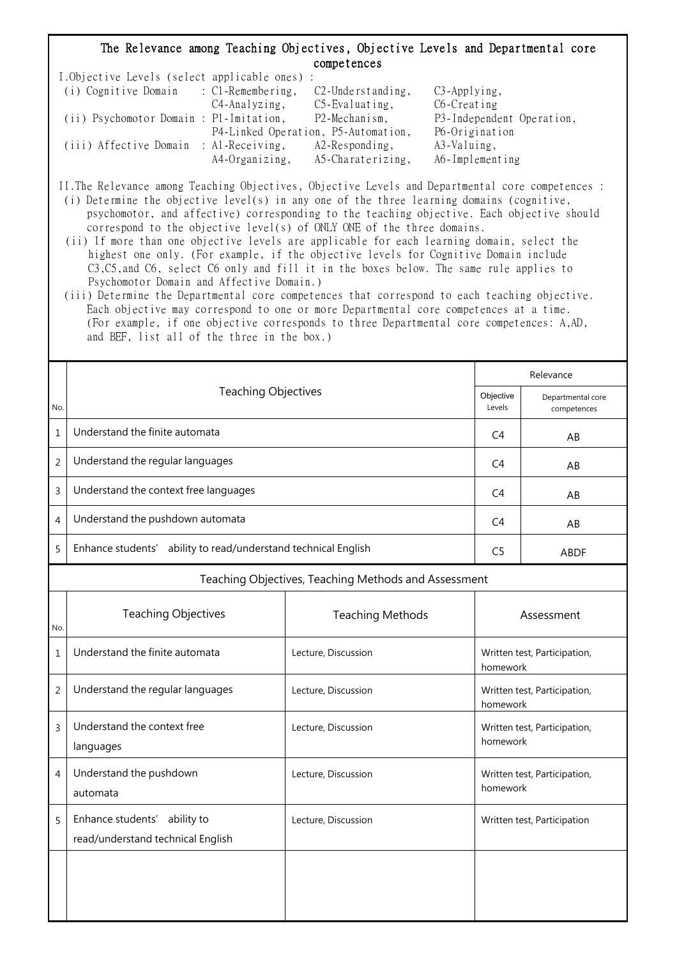## The Relevance among Teaching Objectives, Objective Levels and Departmental core competences

| I.Objective Levels (select applicable ones) : |                |                                     |                           |
|-----------------------------------------------|----------------|-------------------------------------|---------------------------|
| (i) Cognitive Domain : C1-Remembering,        |                | $C2$ -Understanding,                | $C3$ -Applying,           |
|                                               | C4-Analyzing,  | $C5$ -Evaluating,                   | C6-Creating               |
| (ii) Psychomotor Domain : P1-Imitation,       |                | P2-Mechanism,                       | P3-Independent Operation, |
|                                               |                | P4-Linked Operation, P5-Automation, | P6-Origination            |
| (iii) Affective Domain : Al-Receiving,        |                | $A2$ -Responding,                   | A3-Valuing,               |
|                                               | A4-Organizing, | A5-Charaterizing,                   | A6-Implementing           |

II.The Relevance among Teaching Objectives, Objective Levels and Departmental core competences :

- (i) Determine the objective level(s) in any one of the three learning domains (cognitive, psychomotor, and affective) corresponding to the teaching objective. Each objective should correspond to the objective level(s) of ONLY ONE of the three domains.
- (ii) If more than one objective levels are applicable for each learning domain, select the highest one only. (For example, if the objective levels for Cognitive Domain include C3,C5,and C6, select C6 only and fill it in the boxes below. The same rule applies to Psychomotor Domain and Affective Domain.)
- (iii) Determine the Departmental core competences that correspond to each teaching objective. Each objective may correspond to one or more Departmental core competences at a time. (For example, if one objective corresponds to three Departmental core competences: A,AD, and BEF, list all of the three in the box.)

|                | <b>Teaching Objectives</b>                                        |                | Relevance                        |  |  |
|----------------|-------------------------------------------------------------------|----------------|----------------------------------|--|--|
| No.            |                                                                   |                | Departmental core<br>competences |  |  |
| 1              | Understand the finite automata                                    | C4             | AB                               |  |  |
| $\overline{2}$ | Understand the regular languages                                  | C <sub>4</sub> | AB                               |  |  |
| 3              | Understand the context free languages                             | C4             | AB                               |  |  |
| 4              | Understand the pushdown automata                                  | C4             | AB                               |  |  |
| 5              | ability to read/understand technical English<br>Enhance students' | C <sub>5</sub> | <b>ABDF</b>                      |  |  |
|                | Teaching Objectives, Teaching Methods and Assessment              |                |                                  |  |  |

| No.            | <b>Teaching Objectives</b>                                        | <b>Teaching Methods</b> | Assessment                               |
|----------------|-------------------------------------------------------------------|-------------------------|------------------------------------------|
| $\mathbf{1}$   | Understand the finite automata                                    | Lecture, Discussion     | Written test, Participation,<br>homework |
| $\overline{2}$ | Understand the regular languages                                  | Lecture, Discussion     | Written test, Participation,<br>homework |
| 3              | Understand the context free<br>languages                          | Lecture, Discussion     | Written test, Participation,<br>homework |
| $\overline{4}$ | Understand the pushdown<br>automata                               | Lecture, Discussion     | Written test, Participation,<br>homework |
| 5              | Enhance students' ability to<br>read/understand technical English | Lecture, Discussion     | Written test, Participation              |
|                |                                                                   |                         |                                          |
|                |                                                                   |                         |                                          |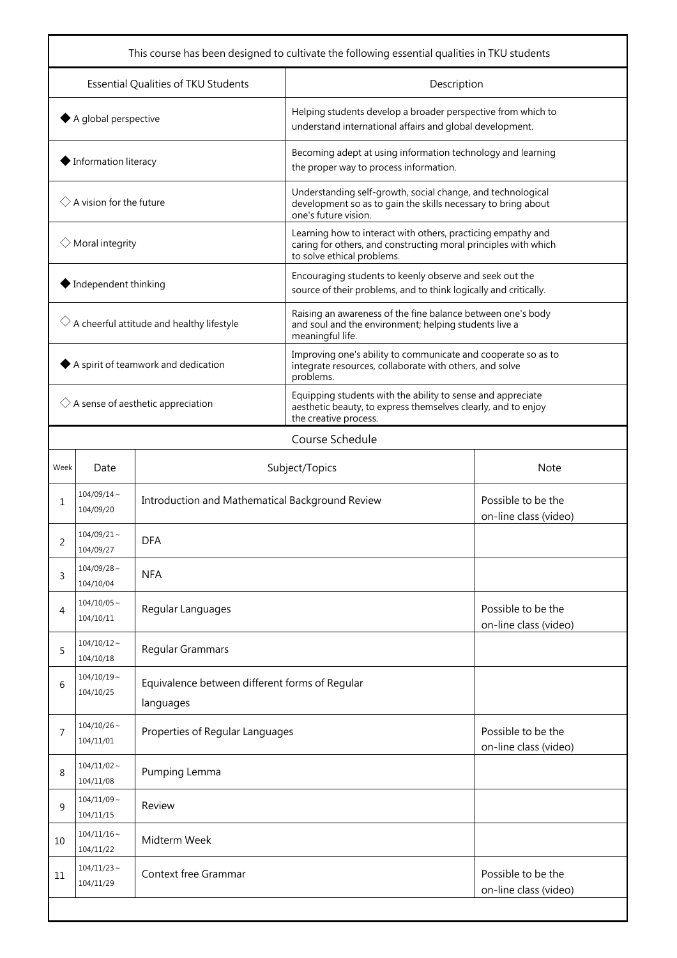| This course has been designed to cultivate the following essential qualities in TKU students |                                      |                                                             |                                                                                                                                                               |  |  |
|----------------------------------------------------------------------------------------------|--------------------------------------|-------------------------------------------------------------|---------------------------------------------------------------------------------------------------------------------------------------------------------------|--|--|
| Essential Qualities of TKU Students                                                          |                                      |                                                             | Description                                                                                                                                                   |  |  |
| $\blacklozenge$ A global perspective                                                         |                                      |                                                             | Helping students develop a broader perspective from which to<br>understand international affairs and global development.                                      |  |  |
| ♦ Information literacy                                                                       |                                      |                                                             | Becoming adept at using information technology and learning<br>the proper way to process information.                                                         |  |  |
| $\Diamond$ A vision for the future                                                           |                                      |                                                             | Understanding self-growth, social change, and technological<br>development so as to gain the skills necessary to bring about<br>one's future vision.          |  |  |
|                                                                                              | $\Diamond$ Moral integrity           |                                                             | Learning how to interact with others, practicing empathy and<br>caring for others, and constructing moral principles with which<br>to solve ethical problems. |  |  |
|                                                                                              | $\blacklozenge$ Independent thinking |                                                             | Encouraging students to keenly observe and seek out the<br>source of their problems, and to think logically and critically.                                   |  |  |
| $\Diamond$ A cheerful attitude and healthy lifestyle                                         |                                      |                                                             | Raising an awareness of the fine balance between one's body<br>and soul and the environment; helping students live a<br>meaningful life.                      |  |  |
| A spirit of teamwork and dedication                                                          |                                      |                                                             | Improving one's ability to communicate and cooperate so as to<br>integrate resources, collaborate with others, and solve<br>problems.                         |  |  |
| $\Diamond$ A sense of aesthetic appreciation                                                 |                                      |                                                             | Equipping students with the ability to sense and appreciate<br>aesthetic beauty, to express themselves clearly, and to enjoy<br>the creative process.         |  |  |
|                                                                                              |                                      |                                                             | Course Schedule                                                                                                                                               |  |  |
| Week                                                                                         | Date                                 | Subject/Topics                                              | <b>Note</b>                                                                                                                                                   |  |  |
| 1                                                                                            | $104/09/14 \sim$<br>104/09/20        | Introduction and Mathematical Background Review             | Possible to be the<br>on-line class (video)                                                                                                                   |  |  |
| 2                                                                                            | $104/09/21$ ~<br>104/09/27           | <b>DFA</b>                                                  |                                                                                                                                                               |  |  |
| 3                                                                                            | $104/09/28$ ~<br>104/10/04           | <b>NFA</b>                                                  |                                                                                                                                                               |  |  |
| 4                                                                                            | $104/10/05$ ~<br>104/10/11           | Regular Languages                                           | Possible to be the<br>on-line class (video)                                                                                                                   |  |  |
| 5                                                                                            | $104/10/12$ ~<br>104/10/18           | Regular Grammars                                            |                                                                                                                                                               |  |  |
| 6                                                                                            | $104/10/19$ ~<br>104/10/25           | Equivalence between different forms of Regular<br>languages |                                                                                                                                                               |  |  |
| 7                                                                                            | $104/10/26$ ~<br>104/11/01           |                                                             | Properties of Regular Languages                                                                                                                               |  |  |
| 8                                                                                            | $104/11/02 \sim$<br>104/11/08        | Pumping Lemma                                               |                                                                                                                                                               |  |  |
| 9                                                                                            | $104/11/09$ ~<br>104/11/15           | Review                                                      |                                                                                                                                                               |  |  |
| 10                                                                                           | $104/11/16$ ~<br>104/11/22           | Midterm Week                                                |                                                                                                                                                               |  |  |
| 11                                                                                           | $104/11/23$ ~<br>104/11/29           | <b>Context free Grammar</b>                                 | Possible to be the<br>on-line class (video)                                                                                                                   |  |  |
|                                                                                              |                                      |                                                             |                                                                                                                                                               |  |  |